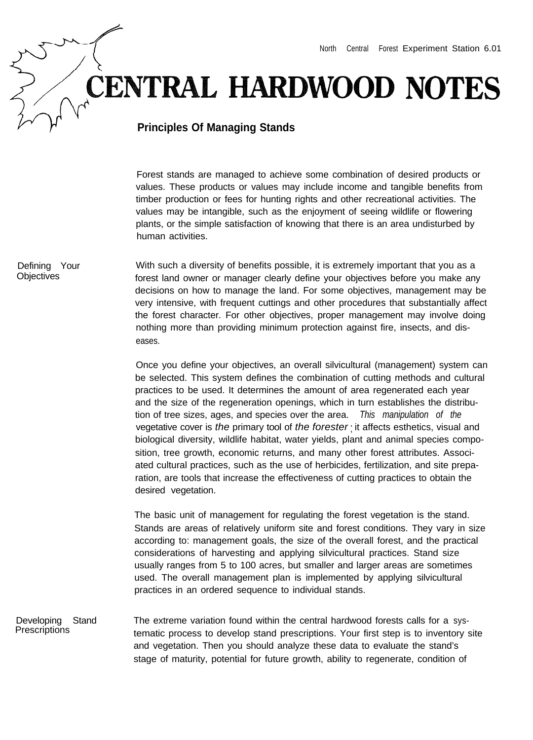## **CENTRAL HARDWOOD NOTES**

## **Principles Of Managing Stands**

Forest stands are managed to achieve some combination of desired products or values. These products or values may include income and tangible benefits from timber production or fees for hunting rights and other recreational activities. The values may be intangible, such as the enjoyment of seeing wildlife or flowering plants, or the simple satisfaction of knowing that there is an area undisturbed by human activities.

With such a diversity of benefits possible, it is extremely important that you as a forest land owner or manager clearly define your objectives before you make any decisions on how to manage the land. For some objectives, management may be very intensive, with frequent cuttings and other procedures that substantially affect the forest character. For other objectives, proper management may involve doing nothing more than providing minimum protection against fire, insects, and diseases.

> Once you define your objectives, an overall silvicultural (management) system can be selected. This system defines the combination of cutting methods and cultural practices to be used. It determines the amount of area regenerated each year and the size of the regeneration openings, which in turn establishes the distribution of tree sizes, ages, and species over the area. *This manipulation of the* vegetative cover is *the* primary tool of *the forester* ; it affects esthetics, visual and biological diversity, wildlife habitat, water yields, plant and animal species composition, tree growth, economic returns, and many other forest attributes. Associated cultural practices, such as the use of herbicides, fertilization, and site preparation, are tools that increase the effectiveness of cutting practices to obtain the desired vegetation.

> The basic unit of management for regulating the forest vegetation is the stand. Stands are areas of relatively uniform site and forest conditions. They vary in size according to: management goals, the size of the overall forest, and the practical considerations of harvesting and applying silvicultural practices. Stand size usually ranges from 5 to 100 acres, but smaller and larger areas are sometimes used. The overall management plan is implemented by applying silvicultural practices in an ordered sequence to individual stands.

Developing Stand **Prescriptions** The extreme variation found within the central hardwood forests calls for a systematic process to develop stand prescriptions. Your first step is to inventory site and vegetation. Then you should analyze these data to evaluate the stand's stage of maturity, potential for future growth, ability to regenerate, condition of

Defining Your **Objectives**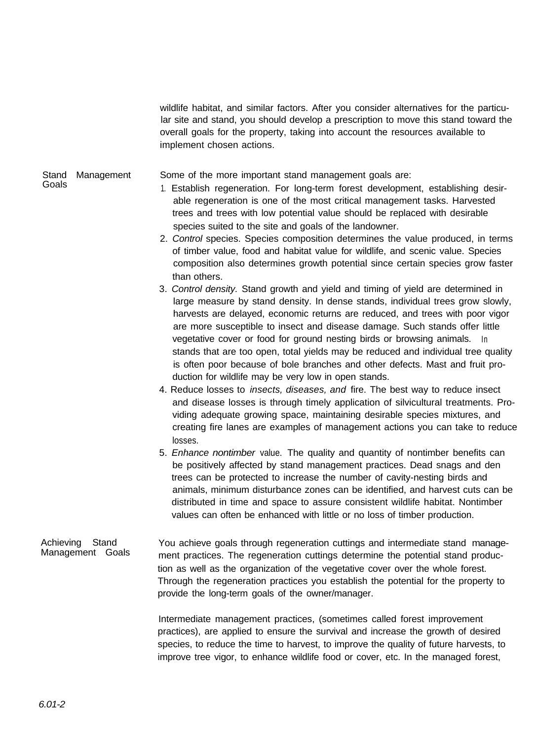wildlife habitat, and similar factors. After you consider alternatives for the particular site and stand, you should develop a prescription to move this stand toward the overall goals for the property, taking into account the resources available to implement chosen actions.

Stand Management Some of the more important stand management goals are:

Goals

1. Establish regeneration. For long-term forest development, establishing desir-

- able regeneration is one of the most critical management tasks. Harvested trees and trees with low potential value should be replaced with desirable species suited to the site and goals of the landowner.
- 2. *Control* species. Species composition determines the value produced, in terms of timber value, food and habitat value for wildlife, and scenic value. Species composition also determines growth potential since certain species grow faster than others.
- 3. *Control density.* Stand growth and yield and timing of yield are determined in large measure by stand density. In dense stands, individual trees grow slowly, harvests are delayed, economic returns are reduced, and trees with poor vigor are more susceptible to insect and disease damage. Such stands offer little vegetative cover or food for ground nesting birds or browsing animals. In stands that are too open, total yields may be reduced and individual tree quality is often poor because of bole branches and other defects. Mast and fruit production for wildlife may be very low in open stands.
- 4. Reduce losses to *insects, diseases, and* fire. The best way to reduce insect and disease losses is through timely application of silvicultural treatments. Providing adequate growing space, maintaining desirable species mixtures, and creating fire lanes are examples of management actions you can take to reduce losses.
- 5. *Enhance nontimber* value. The quality and quantity of nontimber benefits can be positively affected by stand management practices. Dead snags and den trees can be protected to increase the number of cavity-nesting birds and animals, minimum disturbance zones can be identified, and harvest cuts can be distributed in time and space to assure consistent wildlife habitat. Nontimber values can often be enhanced with little or no loss of timber production.

Achieving Stand Management Goals You achieve goals through regeneration cuttings and intermediate stand management practices. The regeneration cuttings determine the potential stand production as well as the organization of the vegetative cover over the whole forest. Through the regeneration practices you establish the potential for the property to provide the long-term goals of the owner/manager.

> Intermediate management practices, (sometimes called forest improvement practices), are applied to ensure the survival and increase the growth of desired species, to reduce the time to harvest, to improve the quality of future harvests, to improve tree vigor, to enhance wildlife food or cover, etc. In the managed forest,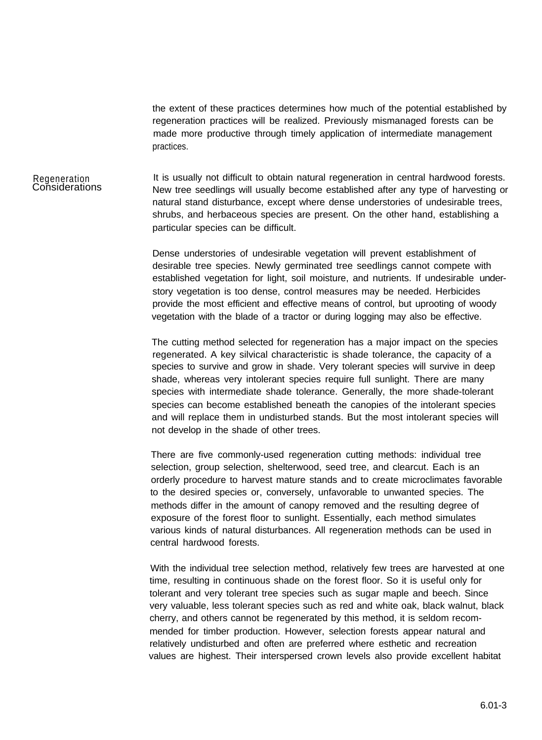the extent of these practices determines how much of the potential established by regeneration practices will be realized. Previously mismanaged forests can be made more productive through timely application of intermediate management practices.

## Regeneration **Considerations**

It is usually not difficult to obtain natural regeneration in central hardwood forests. New tree seedlings will usually become established after any type of harvesting or natural stand disturbance, except where dense understories of undesirable trees, shrubs, and herbaceous species are present. On the other hand, establishing a particular species can be difficult.

Dense understories of undesirable vegetation will prevent establishment of desirable tree species. Newly germinated tree seedlings cannot compete with established vegetation for light, soil moisture, and nutrients. If undesirable understory vegetation is too dense, control measures may be needed. Herbicides provide the most efficient and effective means of control, but uprooting of woody vegetation with the blade of a tractor or during logging may also be effective.

The cutting method selected for regeneration has a major impact on the species regenerated. A key silvical characteristic is shade tolerance, the capacity of a species to survive and grow in shade. Very tolerant species will survive in deep shade, whereas very intolerant species require full sunlight. There are many species with intermediate shade tolerance. Generally, the more shade-tolerant species can become established beneath the canopies of the intolerant species and will replace them in undisturbed stands. But the most intolerant species will not develop in the shade of other trees.

There are five commonly-used regeneration cutting methods: individual tree selection, group selection, shelterwood, seed tree, and clearcut. Each is an orderly procedure to harvest mature stands and to create microclimates favorable to the desired species or, conversely, unfavorable to unwanted species. The methods differ in the amount of canopy removed and the resulting degree of exposure of the forest floor to sunlight. Essentially, each method simulates various kinds of natural disturbances. All regeneration methods can be used in central hardwood forests.

With the individual tree selection method, relatively few trees are harvested at one time, resulting in continuous shade on the forest floor. So it is useful only for tolerant and very tolerant tree species such as sugar maple and beech. Since very valuable, less tolerant species such as red and white oak, black walnut, black cherry, and others cannot be regenerated by this method, it is seldom recommended for timber production. However, selection forests appear natural and relatively undisturbed and often are preferred where esthetic and recreation values are highest. Their interspersed crown levels also provide excellent habitat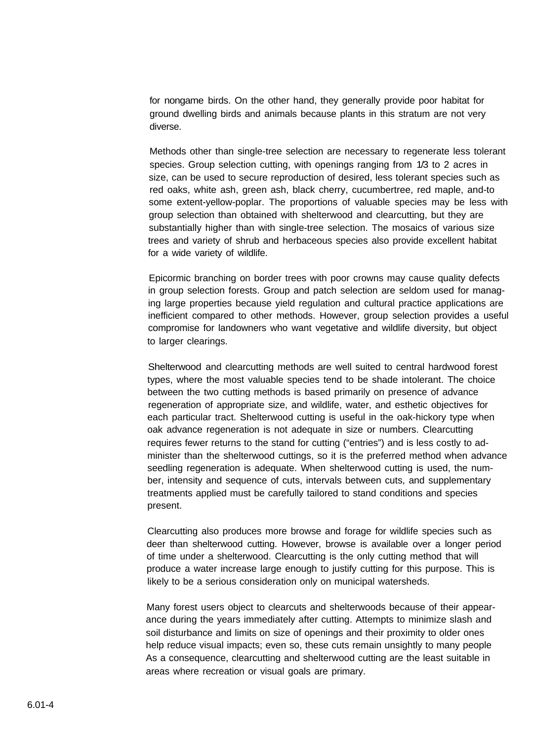for nongame birds. On the other hand, they generally provide poor habitat for ground dwelling birds and animals because plants in this stratum are not very diverse.

Methods other than single-tree selection are necessary to regenerate less tolerant species. Group selection cutting, with openings ranging from 1/3 to 2 acres in size, can be used to secure reproduction of desired, less tolerant species such as red oaks, white ash, green ash, black cherry, cucumbertree, red maple, and-to some extent-yellow-poplar. The proportions of valuable species may be less with group selection than obtained with shelterwood and clearcutting, but they are substantially higher than with single-tree selection. The mosaics of various size trees and variety of shrub and herbaceous species also provide excellent habitat for a wide variety of wildlife.

Epicormic branching on border trees with poor crowns may cause quality defects in group selection forests. Group and patch selection are seldom used for managing large properties because yield regulation and cultural practice applications are inefficient compared to other methods. However, group selection provides a useful compromise for landowners who want vegetative and wildlife diversity, but object to larger clearings.

Shelterwood and clearcutting methods are well suited to central hardwood forest types, where the most valuable species tend to be shade intolerant. The choice between the two cutting methods is based primarily on presence of advance regeneration of appropriate size, and wildlife, water, and esthetic objectives for each particular tract. Shelterwood cutting is useful in the oak-hickory type when oak advance regeneration is not adequate in size or numbers. Clearcutting requires fewer returns to the stand for cutting ("entries") and is less costly to administer than the shelterwood cuttings, so it is the preferred method when advance seedling regeneration is adequate. When shelterwood cutting is used, the number, intensity and sequence of cuts, intervals between cuts, and supplementary treatments applied must be carefully tailored to stand conditions and species present.

Clearcutting also produces more browse and forage for wildlife species such as deer than shelterwood cutting. However, browse is available over a longer period of time under a shelterwood. Clearcutting is the only cutting method that will produce a water increase large enough to justify cutting for this purpose. This is likely to be a serious consideration only on municipal watersheds.

Many forest users object to clearcuts and shelterwoods because of their appearance during the years immediately after cutting. Attempts to minimize slash and soil disturbance and limits on size of openings and their proximity to older ones help reduce visual impacts; even so, these cuts remain unsightly to many people As a consequence, clearcutting and shelterwood cutting are the least suitable in areas where recreation or visual goals are primary.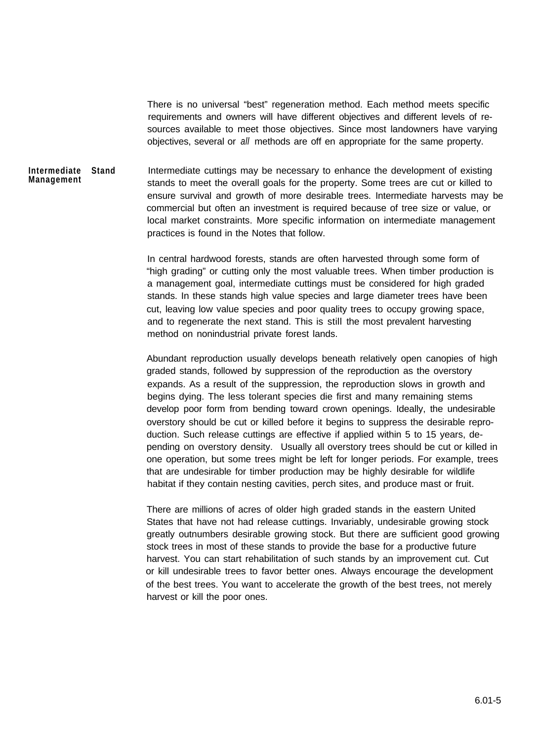There is no universal "best" regeneration method. Each method meets specific requirements and owners will have different objectives and different levels of resources available to meet those objectives. Since most landowners have varying objectives, several or *all* methods are off en appropriate for the same property.

**Intermediate Stand Management** Intermediate cuttings may be necessary to enhance the development of existing stands to meet the overall goals for the property. Some trees are cut or killed to ensure survival and growth of more desirable trees. Intermediate harvests may be commercial but often an investment is required because of tree size or value, or local market constraints. More specific information on intermediate management practices is found in the Notes that follow.

> In central hardwood forests, stands are often harvested through some form of "high grading" or cutting only the most valuable trees. When timber production is a management goal, intermediate cuttings must be considered for high graded stands. In these stands high value species and large diameter trees have been cut, leaving low value species and poor quality trees to occupy growing space, and to regenerate the next stand. This is still the most prevalent harvesting method on nonindustrial private forest lands.

Abundant reproduction usually develops beneath relatively open canopies of high graded stands, followed by suppression of the reproduction as the overstory expands. As a result of the suppression, the reproduction slows in growth and begins dying. The less tolerant species die first and many remaining stems develop poor form from bending toward crown openings. Ideally, the undesirable overstory should be cut or killed before it begins to suppress the desirable reproduction. Such release cuttings are effective if applied within 5 to 15 years, depending on overstory density. Usually all overstory trees should be cut or killed in one operation, but some trees might be left for longer periods. For example, trees that are undesirable for timber production may be highly desirable for wildlife habitat if they contain nesting cavities, perch sites, and produce mast or fruit.

There are millions of acres of older high graded stands in the eastern United States that have not had release cuttings. Invariably, undesirable growing stock greatly outnumbers desirable growing stock. But there are sufficient good growing stock trees in most of these stands to provide the base for a productive future harvest. You can start rehabilitation of such stands by an improvement cut. Cut or kill undesirable trees to favor better ones. Always encourage the development of the best trees. You want to accelerate the growth of the best trees, not merely harvest or kill the poor ones.